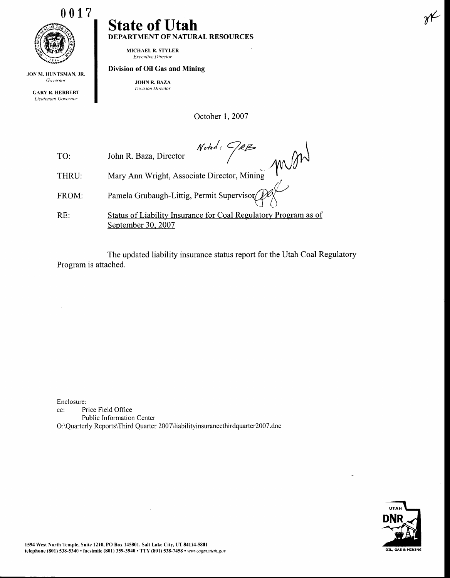

JON M. HUNTSMAN, JR. Governor

> GARY R. HERBERT Lieutenant Covernor

## State of Utah DEPARTMENT OF NATURAL RESOURCES

MICHAEL R. STYLER Executive Director

## Division of Oil Gas and Mining

JOHN R. BAZA Division Director

October 1, 2007

 $Note: 98B$ mond TO: John R. Baza, Director Mary Ann Wright, Associate Director, Mining THRU: Pamela Grubaugh-Littig, Permit Supervisor FROM: Status of Liabilify Insurance for Coal Regulatory Program as of RE: September 30. 2007

The updated liability insurance status report for the Utah Coal Regulatory Program is attached.

Enclosure:

cc: Price Field Office Public Information Center O:\Quarterly Reports\Third Quarter 2007\liabilityinsurancethirdquarter200T .doc



 $\chi$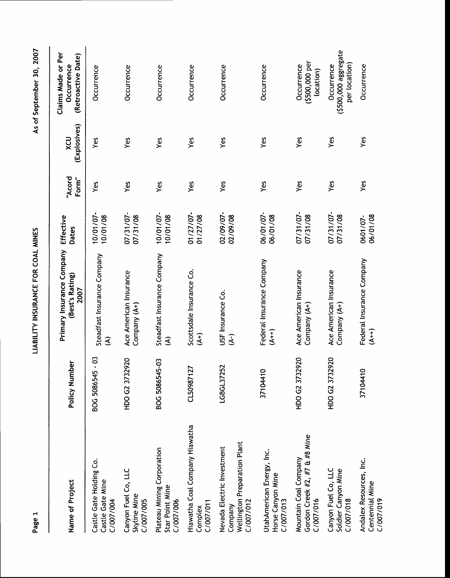| Name of Project                                                                    | Policy Number         | Primary Insurance Company<br>(Best's Rating)<br>2007 | Effective<br>Dates    | "Acord<br>Form" | (Explosives)<br>XCU | Claims Made or Per<br>(Retroactive Date)<br>Occurrence |
|------------------------------------------------------------------------------------|-----------------------|------------------------------------------------------|-----------------------|-----------------|---------------------|--------------------------------------------------------|
| Castle Gate Holding Co.<br>Castle Gate Mine<br>C/007/004                           | .<br>C<br>BOG 5086545 | Steadfast Insurance Company<br>ड                     | 10/01/07-<br>10/01/08 | Yes             | Yes                 | Occurrence                                             |
| Canyon Fuel Co, LLC<br><b>Skyline Mine</b><br>C/007/005                            | HDO G2 3732920        | Ace American Insurance<br>Company (A+)               | 07/31/07-<br>07/31/08 | Yes             | Yes                 | Occurrence                                             |
| Plateau Mining Corporation<br>Star Point Mine<br>C/007/006                         | BOG 5086545-03        | Steadfast Insurance Company<br>€                     | 10/01/07-<br>10/01/08 | Yes             | yes                 | Occurrence                                             |
| Hiawatha Coal Company Hiawatha<br>C/007/011<br>Complex                             | CLS0987127            | Scottsdale Insurance Co.<br>$\mathbf{f}$             | 01/27/07-<br>01/27/08 | Yes             | Yes                 | Occurrence                                             |
| Wellington Preparation Plant<br>Nevada Electric Investment<br>C/007/012<br>Company | LGBGL37252            | USF Insurance Co.<br>$\widehat{\mathfrak{t}}$        | 02/09/07-<br>02/09/08 | Yes             | Yes                 | Occurrence                                             |
| UtahAmerican Energy, Inc.<br>Horse Canyon Mine<br>C/007/013                        | 37104410              | Federal Insurance Company<br>$\overline{4}$          | 06/01/07-<br>06/01/08 | Yes             | Yes                 | Occurrence                                             |
| Gordon Creek #2, #7 & #8 Mine<br>Mountain Coal Company<br>C/007/016                | HDO G2 3732920        | Ace American Insurance<br>Company (A+)               | 07/31/07-<br>07/31/08 | Υeς             | yes                 | (\$500,000 per<br>Occurrence<br>location)              |
| Canyon Fuel Co, LLC<br>Soldier Canyon Mine<br>C/007/018                            | HDO G2 3732920        | Ace American Insurance<br>Company (A+)               | 07/31/07-<br>07/31/08 | Yes             | Yes                 | (\$500,000 aggregate<br>per location)<br>Occurrence    |
| Andalex Resources, Inc.<br>Centennial Mine<br>C/007/019                            | 37104410              | Federal Insurance Company<br>$\widetilde{A}$         | 06/01/08<br>0601/07-  | Yes             | Yes                 | Occurrence                                             |

As of September 30, 2007

LIABILITY INSURANCE FOR COAL MINES

Page 1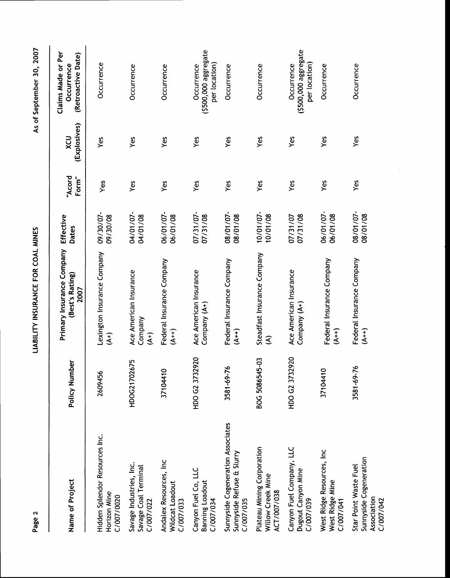| Name of Project                                                             | Policy Number             | Primary Insurance Company<br>(Best's Rating)<br>2007 | Effective<br><b>Dates</b> | "Acord<br>Form" | (Explosives)<br>XCU | Claims Made or Per<br>(Retroactive Date)<br>Occurrence |
|-----------------------------------------------------------------------------|---------------------------|------------------------------------------------------|---------------------------|-----------------|---------------------|--------------------------------------------------------|
| Hidden Splendor Resources Inc.<br>Horizon Mine<br>C/007/0020                | 2609456                   | Lexington Insurance Company<br>$(4+)$                | 09/30/07-<br>09/30/08     | Yes             | Yes                 | Occurrence                                             |
| Savage Industries, Inc.<br>Savage Coal Terminal<br>C/007/022                | HDOG21702675              | Ace American Insurance<br>Company<br>$\widetilde{A}$ | 04/01/07<br>04/01/08      | Yes             | Yes                 | Occurrence                                             |
| Andalex Resources, Inc.<br>Wildcat Loadout<br>C/007/033                     | $\overline{a}$<br>3710441 | Federal Insurance Company<br>$(4 + 1)$               | 06/01/07-<br>06/01/08     | Yes             | Yes                 | Occurrence                                             |
| Canyon Fuel Co, LLC<br><b>Banning Loadout</b><br>C/007/034                  | HDO G2 3732920            | Ace American Insurance<br>Company (A+)               | 07/31/07-<br>07/31/08     | Yes             | Yes                 | (\$500,000 aggregate<br>per location)<br>Occurrence    |
| Sunnyside Cogeneration Associates<br>Sunnyside Refuse & Slurry<br>C/007/035 | 3581-69-76                | Federal Insurance Company<br>$(4+)$                  | 08/01/07-<br>08/01/08     | Yes             | Yes                 | Occurrence                                             |
| Plateau Mining Corporation<br>Willow Creek Mine<br>ACT/007/038              | BOG 5086545-03            | Steadfast Insurance Company<br>ड                     | 10/01/07-<br>10/01/08     | Yes             | Yes                 | Occurrence                                             |
| Canyon Fuel Company, LLC<br>Dugout Canyon Mine<br>C/007/039                 | HDO G2 3732920            | Ace American Insurance<br>Company (A+)               | 07/31/08<br>07/31/07      | Yes             | Yes                 | (\$500,000 aggregate<br>per location)<br>Occurrence    |
| West Ridge Resources, Inc.<br>West Ridge Mine<br>C/007/041                  | 37104410                  | Federal Insurance Company<br>$(4+)$                  | 06/01/07-<br>06/01/08     | Yes             | Yes                 | Occurrence                                             |
| Sunnyside Cogeneration<br>Star Point Waste Fuel<br>Association<br>C/007/042 | 3581-69-76                | Federal Insurance Company<br>$\widetilde{A}^{++}$    | 08/01/07-<br>08/01/08     | Yes             | Yes                 | Occurrence                                             |

As of September 30, 2007

LIABILITY INSURANCE FOR COAL MINES

Page 2